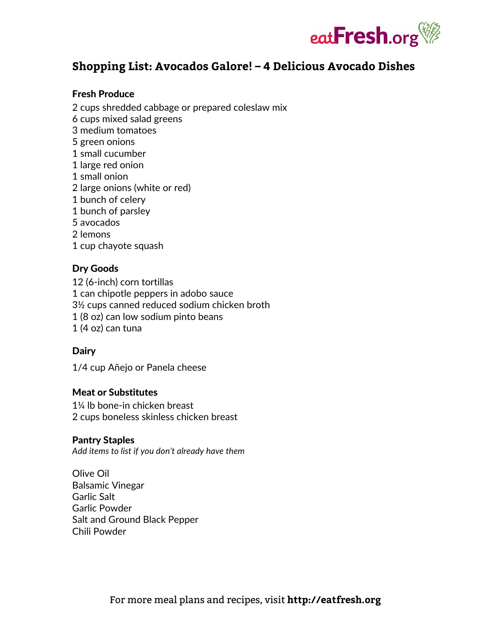

# **Shopping List: Avocados Galore! – 4 Delicious Avocado Dishes**

#### Fresh Produce

- 2 cups shredded cabbage or prepared coleslaw mix
- 6 cups mixed salad greens
- 3 medium tomatoes
- 5 green onions
- 1 small cucumber
- 1 large red onion
- 1 small onion
- 2 large onions (white or red)
- 1 bunch of celery
- 1 bunch of parsley
- 5 avocados
- 2 lemons
- 1 cup chayote squash

# Dry Goods

12 (6-inch) corn tortillas 1 can chipotle peppers in adobo sauce 3½ cups canned reduced sodium chicken broth 1 (8 oz) can low sodium pinto beans 1 (4 oz) can tuna

# Dairy

1/4 cup Añejo or Panela cheese

# Meat or Substitutes

1¼ lb bone-in chicken breast 2 cups boneless skinless chicken breast

# Pantry Staples

*Add items to list if you don't already have them*

Olive Oil Balsamic Vinegar Garlic Salt Garlic Powder Salt and Ground Black Pepper Chili Powder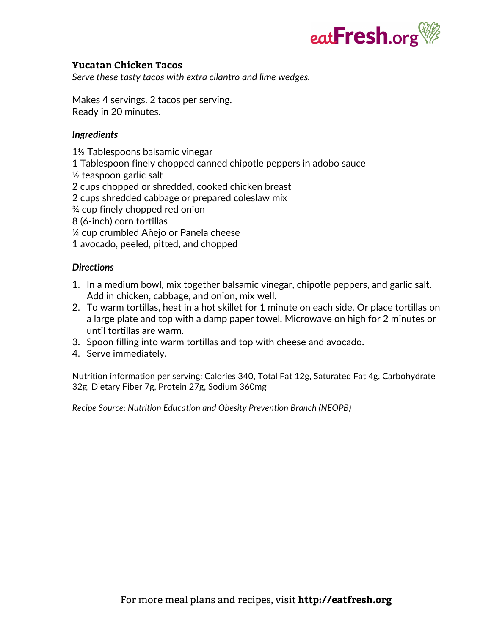

# **Yucatan Chicken Tacos**

*Serve these tasty tacos with extra cilantro and lime wedges.*

Makes 4 servings. 2 tacos per serving. Ready in 20 minutes.

### *Ingredients*

1½ Tablespoons balsamic vinegar

- 1 Tablespoon finely chopped canned chipotle peppers in adobo sauce
- ½ teaspoon garlic salt

2 cups chopped or shredded, cooked chicken breast

- 2 cups shredded cabbage or prepared coleslaw mix
- ¾ cup finely chopped red onion
- 8 (6-inch) corn tortillas
- ¼ cup crumbled Añejo or Panela cheese
- 1 avocado, peeled, pitted, and chopped

#### *Directions*

- 1. In a medium bowl, mix together balsamic vinegar, chipotle peppers, and garlic salt. Add in chicken, cabbage, and onion, mix well.
- 2. To warm tortillas, heat in a hot skillet for 1 minute on each side. Or place tortillas on a large plate and top with a damp paper towel. Microwave on high for 2 minutes or until tortillas are warm.
- 3. Spoon filling into warm tortillas and top with cheese and avocado.
- 4. Serve immediately.

Nutrition information per serving: Calories 340, Total Fat 12g, Saturated Fat 4g, Carbohydrate 32g, Dietary Fiber 7g, Protein 27g, Sodium 360mg

*Recipe Source: Nutrition Education and Obesity Prevention Branch (NEOPB)*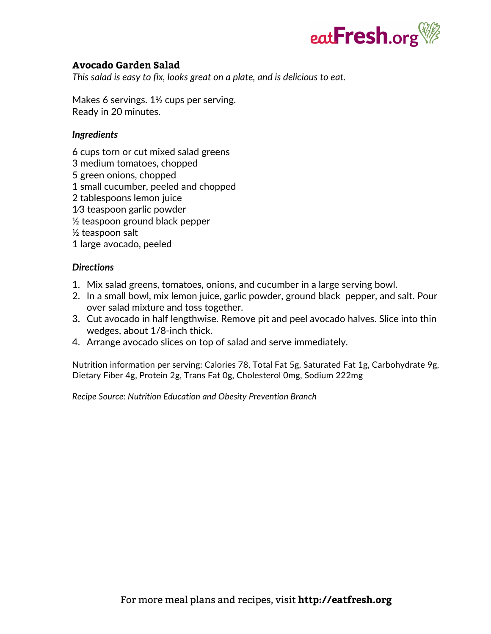

# **Avocado Garden Salad**

*This salad is easy to fix, looks great on a plate, and is delicious to eat.*

Makes 6 servings. 1½ cups per serving. Ready in 20 minutes.

### *Ingredients*

- 6 cups torn or cut mixed salad greens
- 3 medium tomatoes, chopped
- 5 green onions, chopped
- 1 small cucumber, peeled and chopped
- 2 tablespoons lemon juice
- 1⁄3 teaspoon garlic powder
- ½ teaspoon ground black pepper
- ½ teaspoon salt
- 1 large avocado, peeled

#### *Directions*

- 1. Mix salad greens, tomatoes, onions, and cucumber in a large serving bowl.
- 2. In a small bowl, mix lemon juice, garlic powder, ground black pepper, and salt. Pour over salad mixture and toss together.
- 3. Cut avocado in half lengthwise. Remove pit and peel avocado halves. Slice into thin wedges, about 1/8-inch thick.
- 4. Arrange avocado slices on top of salad and serve immediately.

Nutrition information per serving: Calories 78, Total Fat 5g, Saturated Fat 1g, Carbohydrate 9g, Dietary Fiber 4g, Protein 2g, Trans Fat 0g, Cholesterol 0mg, Sodium 222mg

*Recipe Source: Nutrition Education and Obesity Prevention Branch*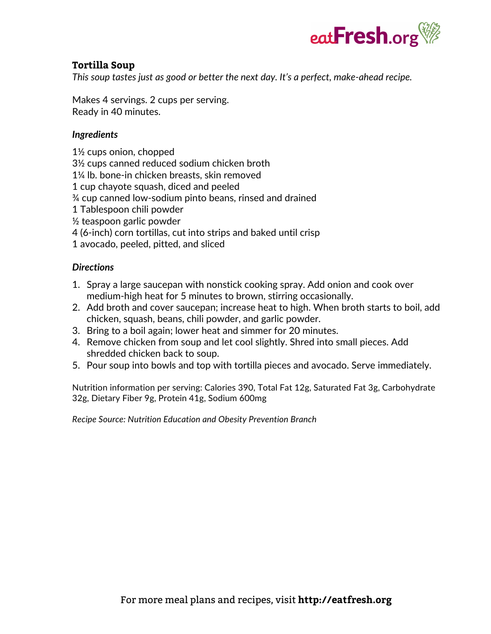

# **Tortilla Soup**

*This soup tastes just as good or better the next day. It's a perfect, make-ahead recipe.*

Makes 4 servings. 2 cups per serving. Ready in 40 minutes.

### *Ingredients*

- 1½ cups onion, chopped
- 3½ cups canned reduced sodium chicken broth
- 1¼ lb. bone-in chicken breasts, skin removed
- 1 cup chayote squash, diced and peeled
- ¾ cup canned low-sodium pinto beans, rinsed and drained
- 1 Tablespoon chili powder
- ½ teaspoon garlic powder
- 4 (6-inch) corn tortillas, cut into strips and baked until crisp
- 1 avocado, peeled, pitted, and sliced

### *Directions*

- 1. Spray a large saucepan with nonstick cooking spray. Add onion and cook over medium-high heat for 5 minutes to brown, stirring occasionally.
- 2. Add broth and cover saucepan; increase heat to high. When broth starts to boil, add chicken, squash, beans, chili powder, and garlic powder.
- 3. Bring to a boil again; lower heat and simmer for 20 minutes.
- 4. Remove chicken from soup and let cool slightly. Shred into small pieces. Add shredded chicken back to soup.
- 5. Pour soup into bowls and top with tortilla pieces and avocado. Serve immediately.

Nutrition information per serving: Calories 390, Total Fat 12g, Saturated Fat 3g, Carbohydrate 32g, Dietary Fiber 9g, Protein 41g, Sodium 600mg

*Recipe Source: Nutrition Education and Obesity Prevention Branch*